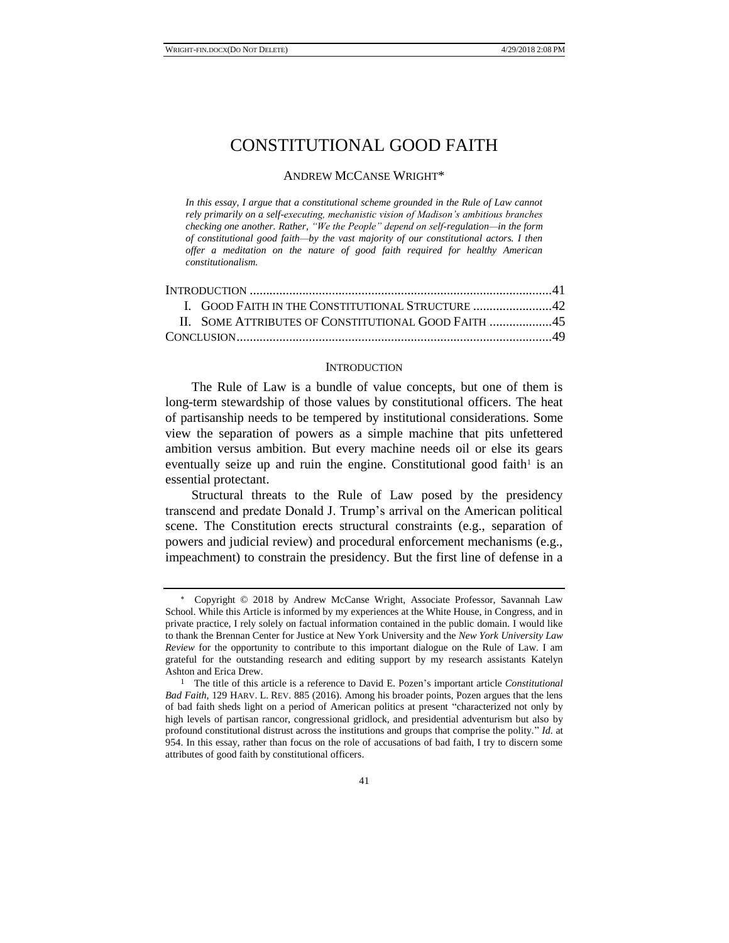# CONSTITUTIONAL GOOD FAITH

## ANDREW MCCANSE WRIGHT\*

*In this essay, I argue that a constitutional scheme grounded in the Rule of Law cannot rely primarily on a self-executing, mechanistic vision of Madison's ambitious branches checking one another. Rather, "We the People" depend on self-regulation—in the form of constitutional good faith—by the vast majority of our constitutional actors. I then offer a meditation on the nature of good faith required for healthy American constitutionalism.*

| I. GOOD FAITH IN THE CONSTITUTIONAL STRUCTURE 42 |  |
|--------------------------------------------------|--|
|                                                  |  |
|                                                  |  |
|                                                  |  |

#### **INTRODUCTION**

The Rule of Law is a bundle of value concepts, but one of them is long-term stewardship of those values by constitutional officers. The heat of partisanship needs to be tempered by institutional considerations. Some view the separation of powers as a simple machine that pits unfettered ambition versus ambition. But every machine needs oil or else its gears eventually seize up and ruin the engine. Constitutional good faith<sup>1</sup> is an essential protectant.

Structural threats to the Rule of Law posed by the presidency transcend and predate Donald J. Trump's arrival on the American political scene. The Constitution erects structural constraints (e.g., separation of powers and judicial review) and procedural enforcement mechanisms (e.g., impeachment) to constrain the presidency. But the first line of defense in a

Copyright © 2018 by Andrew McCanse Wright, Associate Professor, Savannah Law School. While this Article is informed by my experiences at the White House, in Congress, and in private practice, I rely solely on factual information contained in the public domain. I would like to thank the Brennan Center for Justice at New York University and the *New York University Law Review* for the opportunity to contribute to this important dialogue on the Rule of Law. I am grateful for the outstanding research and editing support by my research assistants Katelyn Ashton and Erica Drew.

<sup>1</sup> The title of this article is a reference to David E. Pozen's important article *Constitutional Bad Faith*, 129 HARV. L. REV. 885 (2016). Among his broader points, Pozen argues that the lens of bad faith sheds light on a period of American politics at present "characterized not only by high levels of partisan rancor, congressional gridlock, and presidential adventurism but also by profound constitutional distrust across the institutions and groups that comprise the polity." *Id.* at 954. In this essay, rather than focus on the role of accusations of bad faith, I try to discern some attributes of good faith by constitutional officers.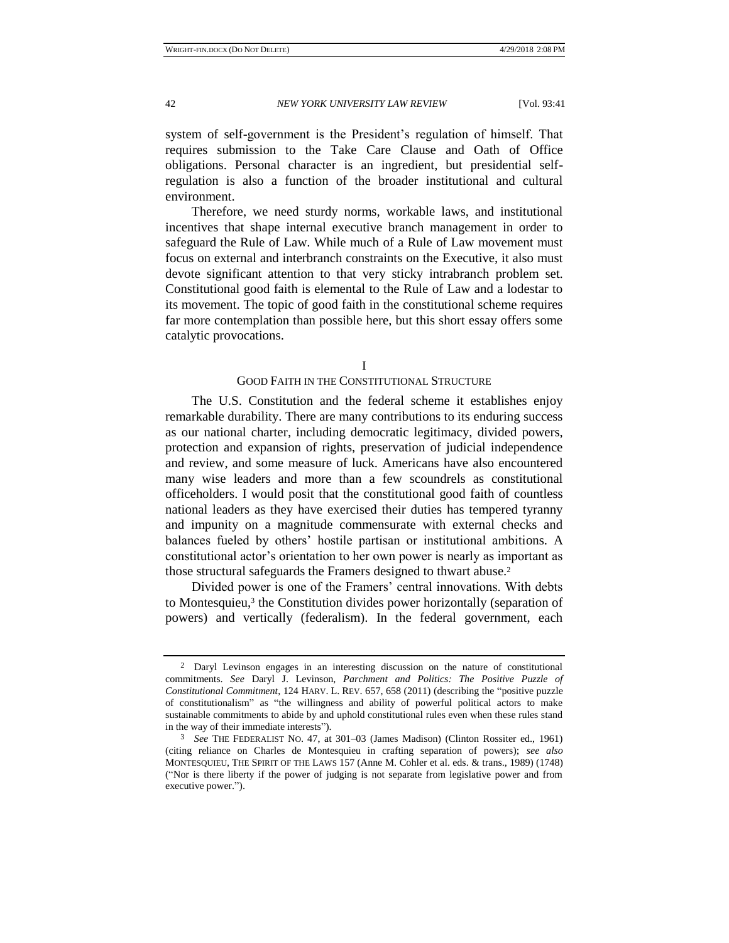system of self-government is the President's regulation of himself. That

requires submission to the Take Care Clause and Oath of Office obligations. Personal character is an ingredient, but presidential selfregulation is also a function of the broader institutional and cultural environment.

Therefore, we need sturdy norms, workable laws, and institutional incentives that shape internal executive branch management in order to safeguard the Rule of Law. While much of a Rule of Law movement must focus on external and interbranch constraints on the Executive, it also must devote significant attention to that very sticky intrabranch problem set. Constitutional good faith is elemental to the Rule of Law and a lodestar to its movement. The topic of good faith in the constitutional scheme requires far more contemplation than possible here, but this short essay offers some catalytic provocations.

I

# GOOD FAITH IN THE CONSTITUTIONAL STRUCTURE

The U.S. Constitution and the federal scheme it establishes enjoy remarkable durability. There are many contributions to its enduring success as our national charter, including democratic legitimacy, divided powers, protection and expansion of rights, preservation of judicial independence and review, and some measure of luck. Americans have also encountered many wise leaders and more than a few scoundrels as constitutional officeholders. I would posit that the constitutional good faith of countless national leaders as they have exercised their duties has tempered tyranny and impunity on a magnitude commensurate with external checks and balances fueled by others' hostile partisan or institutional ambitions. A constitutional actor's orientation to her own power is nearly as important as those structural safeguards the Framers designed to thwart abuse.<sup>2</sup>

Divided power is one of the Framers' central innovations. With debts to Montesquieu,<sup>3</sup> the Constitution divides power horizontally (separation of powers) and vertically (federalism). In the federal government, each

<sup>2</sup> Daryl Levinson engages in an interesting discussion on the nature of constitutional commitments. *See* Daryl J. Levinson, *Parchment and Politics: The Positive Puzzle of Constitutional Commitment*, 124 HARV. L. REV. 657, 658 (2011) (describing the "positive puzzle of constitutionalism" as "the willingness and ability of powerful political actors to make sustainable commitments to abide by and uphold constitutional rules even when these rules stand in the way of their immediate interests").

<sup>3</sup> *See* THE FEDERALIST NO. 47, at 301–03 (James Madison) (Clinton Rossiter ed., 1961) (citing reliance on Charles de Montesquieu in crafting separation of powers); *see also* MONTESQUIEU, THE SPIRIT OF THE LAWS 157 (Anne M. Cohler et al. eds. & trans., 1989) (1748) ("Nor is there liberty if the power of judging is not separate from legislative power and from executive power.").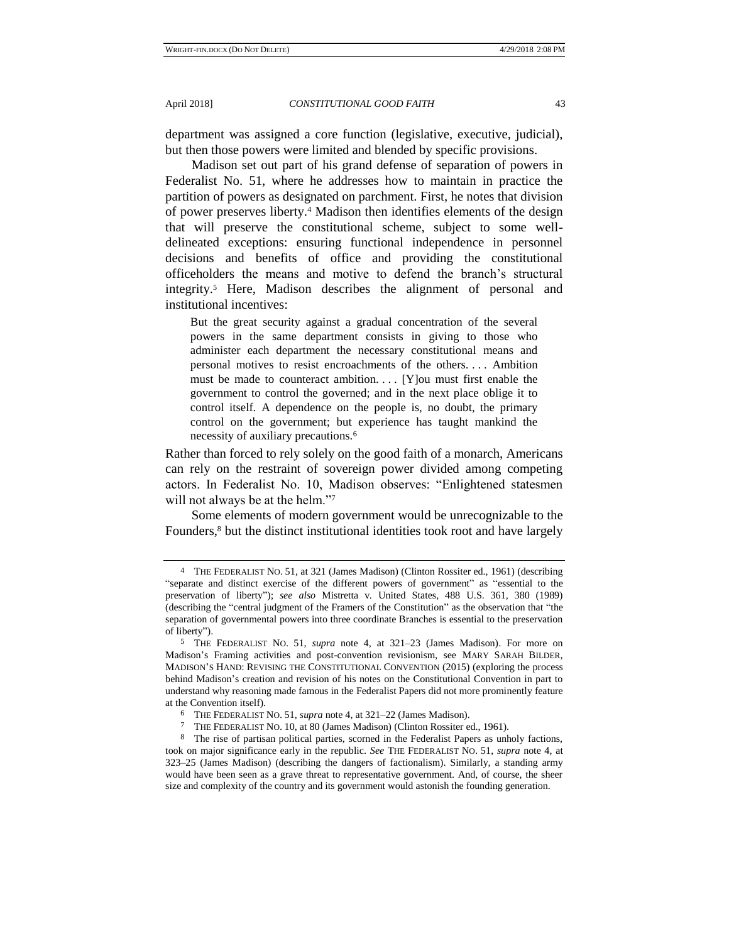department was assigned a core function (legislative, executive, judicial), but then those powers were limited and blended by specific provisions.

Madison set out part of his grand defense of separation of powers in Federalist No. 51, where he addresses how to maintain in practice the partition of powers as designated on parchment. First, he notes that division of power preserves liberty.<sup>4</sup> Madison then identifies elements of the design that will preserve the constitutional scheme, subject to some welldelineated exceptions: ensuring functional independence in personnel decisions and benefits of office and providing the constitutional officeholders the means and motive to defend the branch's structural integrity.<sup>5</sup> Here, Madison describes the alignment of personal and institutional incentives:

But the great security against a gradual concentration of the several powers in the same department consists in giving to those who administer each department the necessary constitutional means and personal motives to resist encroachments of the others. . . . Ambition must be made to counteract ambition. . . . [Y]ou must first enable the government to control the governed; and in the next place oblige it to control itself. A dependence on the people is, no doubt, the primary control on the government; but experience has taught mankind the necessity of auxiliary precautions.<sup>6</sup>

Rather than forced to rely solely on the good faith of a monarch, Americans can rely on the restraint of sovereign power divided among competing actors. In Federalist No. 10, Madison observes: "Enlightened statesmen will not always be at the helm."<sup>7</sup>

Some elements of modern government would be unrecognizable to the Founders,<sup>8</sup> but the distinct institutional identities took root and have largely

<sup>4</sup> THE FEDERALIST NO. 51, at 321 (James Madison) (Clinton Rossiter ed., 1961) (describing "separate and distinct exercise of the different powers of government" as "essential to the preservation of liberty"); *see also* Mistretta v. United States, 488 U.S. 361, 380 (1989) (describing the "central judgment of the Framers of the Constitution" as the observation that "the separation of governmental powers into three coordinate Branches is essential to the preservation of liberty").

<sup>5</sup> THE FEDERALIST NO. 51, *supra* note 4, at 321–23 (James Madison). For more on Madison's Framing activities and post-convention revisionism, see MARY SARAH BILDER, MADISON'S HAND: REVISING THE CONSTITUTIONAL CONVENTION (2015) (exploring the process behind Madison's creation and revision of his notes on the Constitutional Convention in part to understand why reasoning made famous in the Federalist Papers did not more prominently feature at the Convention itself).

<sup>6</sup> THE FEDERALIST NO. 51, *supra* note 4, at 321–22 (James Madison).

<sup>7</sup> THE FEDERALIST NO. 10, at 80 (James Madison) (Clinton Rossiter ed., 1961).

<sup>8</sup> The rise of partisan political parties, scorned in the Federalist Papers as unholy factions, took on major significance early in the republic. *See* THE FEDERALIST NO. 51, *supra* note 4, at 323–25 (James Madison) (describing the dangers of factionalism). Similarly, a standing army would have been seen as a grave threat to representative government. And, of course, the sheer size and complexity of the country and its government would astonish the founding generation.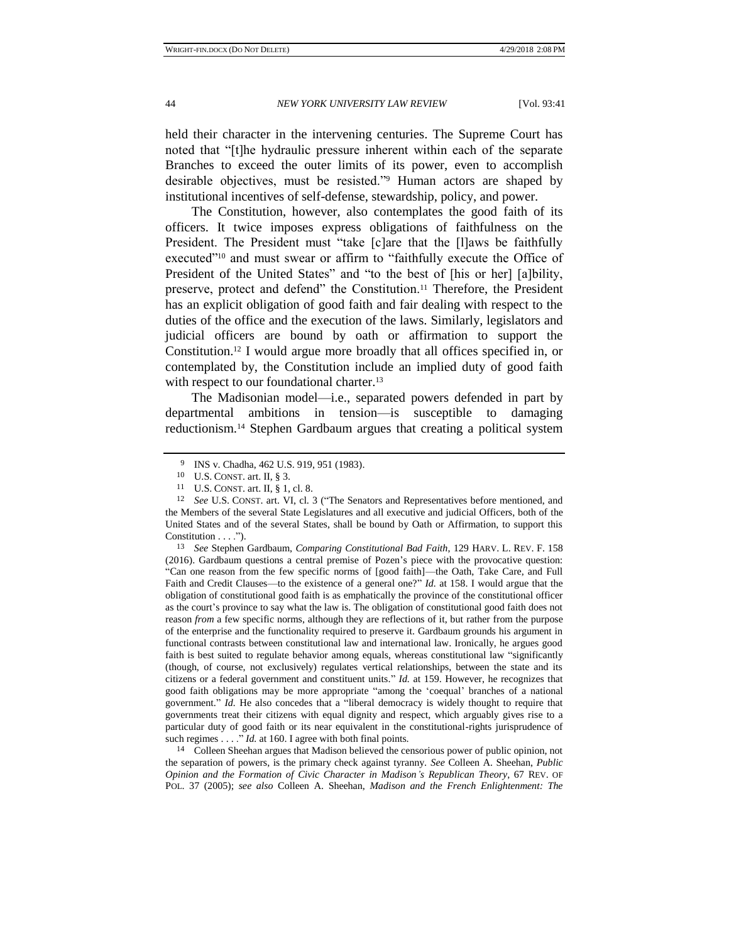held their character in the intervening centuries. The Supreme Court has noted that "[t]he hydraulic pressure inherent within each of the separate Branches to exceed the outer limits of its power, even to accomplish desirable objectives, must be resisted."<sup>9</sup> Human actors are shaped by institutional incentives of self-defense, stewardship, policy, and power.

The Constitution, however, also contemplates the good faith of its officers. It twice imposes express obligations of faithfulness on the President. The President must "take [c]are that the [l]aws be faithfully executed"<sup>10</sup> and must swear or affirm to "faithfully execute the Office of President of the United States" and "to the best of [his or her] [a]bility, preserve, protect and defend" the Constitution.<sup>11</sup> Therefore, the President has an explicit obligation of good faith and fair dealing with respect to the duties of the office and the execution of the laws. Similarly, legislators and judicial officers are bound by oath or affirmation to support the Constitution.<sup>12</sup> I would argue more broadly that all offices specified in, or contemplated by, the Constitution include an implied duty of good faith with respect to our foundational charter.<sup>13</sup>

The Madisonian model—i.e., separated powers defended in part by departmental ambitions in tension—is susceptible to damaging reductionism.<sup>14</sup> Stephen Gardbaum argues that creating a political system

13 *See* Stephen Gardbaum, *Comparing Constitutional Bad Faith*, 129 HARV. L. REV. F. 158 (2016). Gardbaum questions a central premise of Pozen's piece with the provocative question: "Can one reason from the few specific norms of [good faith]—the Oath, Take Care, and Full Faith and Credit Clauses—to the existence of a general one?" *Id.* at 158. I would argue that the obligation of constitutional good faith is as emphatically the province of the constitutional officer as the court's province to say what the law is. The obligation of constitutional good faith does not reason *from* a few specific norms, although they are reflections of it, but rather from the purpose of the enterprise and the functionality required to preserve it. Gardbaum grounds his argument in functional contrasts between constitutional law and international law. Ironically, he argues good faith is best suited to regulate behavior among equals, whereas constitutional law "significantly (though, of course, not exclusively) regulates vertical relationships, between the state and its citizens or a federal government and constituent units." *Id.* at 159. However, he recognizes that good faith obligations may be more appropriate "among the 'coequal' branches of a national government." *Id.* He also concedes that a "liberal democracy is widely thought to require that governments treat their citizens with equal dignity and respect, which arguably gives rise to a particular duty of good faith or its near equivalent in the constitutional-rights jurisprudence of such regimes . . . ." *Id.* at 160. I agree with both final points.

14 Colleen Sheehan argues that Madison believed the censorious power of public opinion, not the separation of powers, is the primary check against tyranny. *See* Colleen A. Sheehan, *Public Opinion and the Formation of Civic Character in Madison's Republican Theory*, 67 REV. OF POL. 37 (2005); *see also* Colleen A. Sheehan, *Madison and the French Enlightenment: The* 

<sup>9</sup> INS v. Chadha, 462 U.S. 919, 951 (1983).

<sup>10</sup> U.S. CONST. art. II, § 3.

<sup>11</sup> U.S. CONST. art. II,  $\S$  1, cl. 8.<br>12 See U.S. CONST. art. VI, cl. 3

<sup>12</sup> *See* U.S. CONST. art. VI, cl. 3 ("The Senators and Representatives before mentioned, and the Members of the several State Legislatures and all executive and judicial Officers, both of the United States and of the several States, shall be bound by Oath or Affirmation, to support this Constitution . . . .").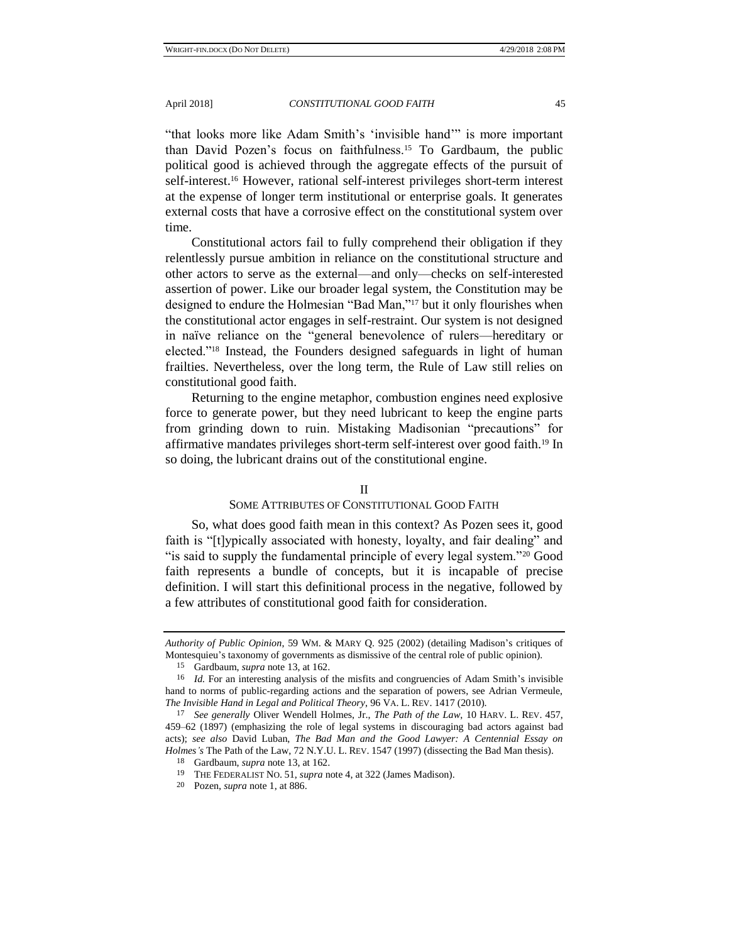"that looks more like Adam Smith's 'invisible hand'" is more important than David Pozen's focus on faithfulness.<sup>15</sup> To Gardbaum, the public political good is achieved through the aggregate effects of the pursuit of self-interest.<sup>16</sup> However, rational self-interest privileges short-term interest at the expense of longer term institutional or enterprise goals. It generates external costs that have a corrosive effect on the constitutional system over time.

Constitutional actors fail to fully comprehend their obligation if they relentlessly pursue ambition in reliance on the constitutional structure and other actors to serve as the external—and only—checks on self-interested assertion of power. Like our broader legal system, the Constitution may be designed to endure the Holmesian "Bad Man,"<sup>17</sup> but it only flourishes when the constitutional actor engages in self-restraint. Our system is not designed in naïve reliance on the "general benevolence of rulers—hereditary or elected."<sup>18</sup> Instead, the Founders designed safeguards in light of human frailties. Nevertheless, over the long term, the Rule of Law still relies on constitutional good faith.

Returning to the engine metaphor, combustion engines need explosive force to generate power, but they need lubricant to keep the engine parts from grinding down to ruin. Mistaking Madisonian "precautions" for affirmative mandates privileges short-term self-interest over good faith.<sup>19</sup> In so doing, the lubricant drains out of the constitutional engine.

#### II

## SOME ATTRIBUTES OF CONSTITUTIONAL GOOD FAITH

So, what does good faith mean in this context? As Pozen sees it, good faith is "[t]ypically associated with honesty, loyalty, and fair dealing" and "is said to supply the fundamental principle of every legal system."<sup>20</sup> Good faith represents a bundle of concepts, but it is incapable of precise definition. I will start this definitional process in the negative, followed by a few attributes of constitutional good faith for consideration.

*Authority of Public Opinion*, 59 WM. & MARY Q. 925 (2002) (detailing Madison's critiques of Montesquieu's taxonomy of governments as dismissive of the central role of public opinion).

<sup>15</sup> Gardbaum, *supra* note 13, at 162.

<sup>16</sup> *Id.* For an interesting analysis of the misfits and congruencies of Adam Smith's invisible hand to norms of public-regarding actions and the separation of powers, see Adrian Vermeule, *The Invisible Hand in Legal and Political Theory*, 96 VA. L. REV. 1417 (2010).

<sup>17</sup> *See generally* Oliver Wendell Holmes, Jr., *The Path of the Law*, 10 HARV. L. REV. 457, 459–62 (1897) (emphasizing the role of legal systems in discouraging bad actors against bad acts); *see also* David Luban, *The Bad Man and the Good Lawyer: A Centennial Essay on Holmes's* The Path of the Law, 72 N.Y.U. L. REV. 1547 (1997) (dissecting the Bad Man thesis).

<sup>18</sup> Gardbaum, *supra* note 13, at 162.

<sup>19</sup> THE FEDERALIST NO. 51, *supra* note 4, at 322 (James Madison).

<sup>20</sup> Pozen, *supra* note 1, at 886.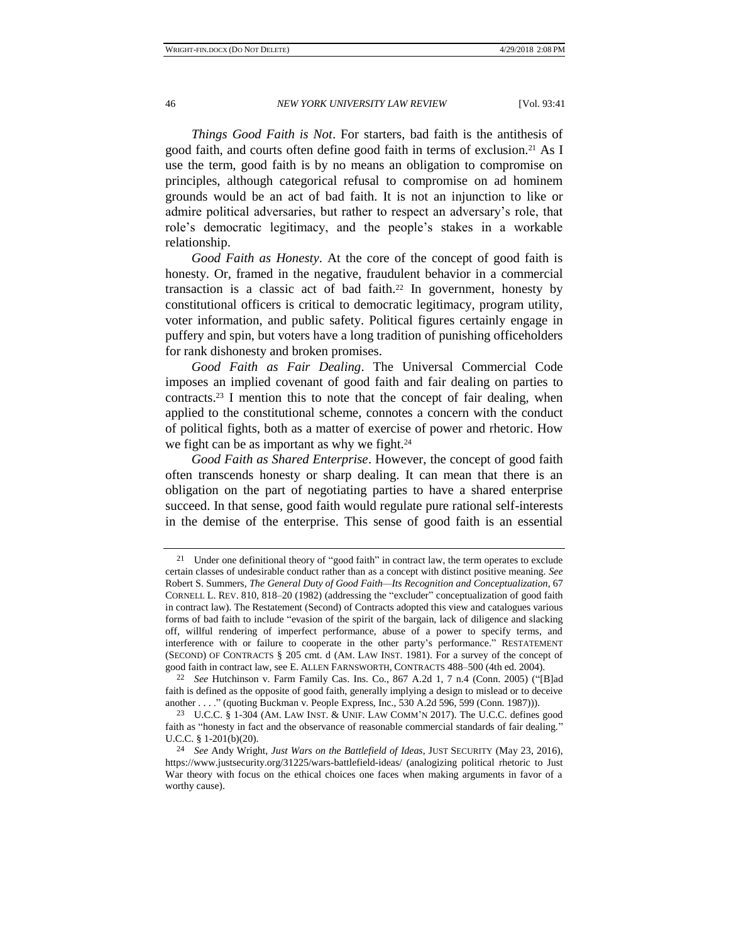*Things Good Faith is Not*. For starters, bad faith is the antithesis of good faith, and courts often define good faith in terms of exclusion.<sup>21</sup> As I use the term, good faith is by no means an obligation to compromise on principles, although categorical refusal to compromise on ad hominem grounds would be an act of bad faith. It is not an injunction to like or admire political adversaries, but rather to respect an adversary's role, that role's democratic legitimacy, and the people's stakes in a workable relationship.

*Good Faith as Honesty*. At the core of the concept of good faith is honesty. Or, framed in the negative, fraudulent behavior in a commercial transaction is a classic act of bad faith.<sup>22</sup> In government, honesty by constitutional officers is critical to democratic legitimacy, program utility, voter information, and public safety. Political figures certainly engage in puffery and spin, but voters have a long tradition of punishing officeholders for rank dishonesty and broken promises.

*Good Faith as Fair Dealing*. The Universal Commercial Code imposes an implied covenant of good faith and fair dealing on parties to contracts.<sup>23</sup> I mention this to note that the concept of fair dealing, when applied to the constitutional scheme, connotes a concern with the conduct of political fights, both as a matter of exercise of power and rhetoric. How we fight can be as important as why we fight.<sup>24</sup>

*Good Faith as Shared Enterprise*. However, the concept of good faith often transcends honesty or sharp dealing. It can mean that there is an obligation on the part of negotiating parties to have a shared enterprise succeed. In that sense, good faith would regulate pure rational self-interests in the demise of the enterprise. This sense of good faith is an essential

<sup>&</sup>lt;sup>21</sup> Under one definitional theory of "good faith" in contract law, the term operates to exclude certain classes of undesirable conduct rather than as a concept with distinct positive meaning. *See*  Robert S. Summers, *The General Duty of Good Faith—Its Recognition and Conceptualization*, 67 CORNELL L. REV. 810, 818–20 (1982) (addressing the "excluder" conceptualization of good faith in contract law). The Restatement (Second) of Contracts adopted this view and catalogues various forms of bad faith to include "evasion of the spirit of the bargain, lack of diligence and slacking off, willful rendering of imperfect performance, abuse of a power to specify terms, and interference with or failure to cooperate in the other party's performance." RESTATEMENT (SECOND) OF CONTRACTS § 205 cmt. d (AM. LAW INST. 1981). For a survey of the concept of good faith in contract law, see E. ALLEN FARNSWORTH, CONTRACTS 488–500 (4th ed. 2004).

<sup>22</sup> *See* Hutchinson v. Farm Family Cas. Ins. Co., 867 A.2d 1, 7 n.4 (Conn. 2005) ("[B]ad faith is defined as the opposite of good faith, generally implying a design to mislead or to deceive another . . . ." (quoting Buckman v. People Express, Inc., 530 A.2d 596, 599 (Conn. 1987))).

<sup>23</sup> U.C.C. § 1-304 (AM. LAW INST. & UNIF. LAW COMM'N 2017). The U.C.C. defines good faith as "honesty in fact and the observance of reasonable commercial standards of fair dealing." U.C.C. § 1-201(b)(20).

<sup>24</sup> *See* Andy Wright, *Just Wars on the Battlefield of Ideas*, JUST SECURITY (May 23, 2016), https://www.justsecurity.org/31225/wars-battlefield-ideas/ (analogizing political rhetoric to Just War theory with focus on the ethical choices one faces when making arguments in favor of a worthy cause).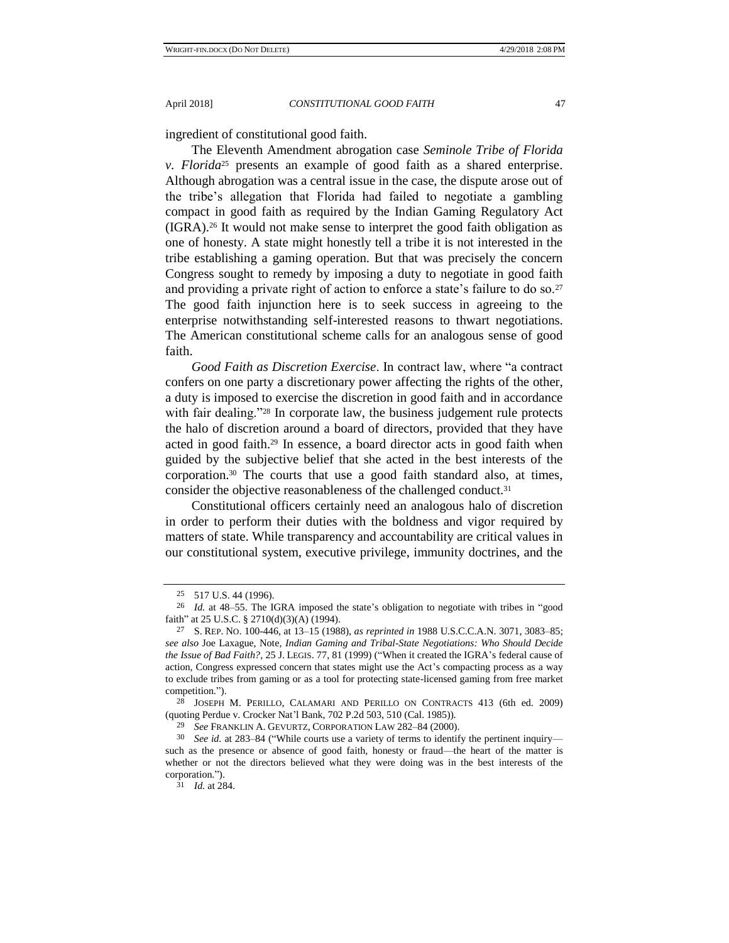ingredient of constitutional good faith.

The Eleventh Amendment abrogation case *Seminole Tribe of Florida v. Florida*<sup>25</sup> presents an example of good faith as a shared enterprise. Although abrogation was a central issue in the case, the dispute arose out of the tribe's allegation that Florida had failed to negotiate a gambling compact in good faith as required by the Indian Gaming Regulatory Act (IGRA).<sup>26</sup> It would not make sense to interpret the good faith obligation as one of honesty. A state might honestly tell a tribe it is not interested in the tribe establishing a gaming operation. But that was precisely the concern Congress sought to remedy by imposing a duty to negotiate in good faith and providing a private right of action to enforce a state's failure to do so.<sup>27</sup> The good faith injunction here is to seek success in agreeing to the enterprise notwithstanding self-interested reasons to thwart negotiations. The American constitutional scheme calls for an analogous sense of good faith.

*Good Faith as Discretion Exercise*. In contract law, where "a contract confers on one party a discretionary power affecting the rights of the other, a duty is imposed to exercise the discretion in good faith and in accordance with fair dealing."<sup>28</sup> In corporate law, the business judgement rule protects the halo of discretion around a board of directors, provided that they have acted in good faith.<sup>29</sup> In essence, a board director acts in good faith when guided by the subjective belief that she acted in the best interests of the corporation.<sup>30</sup> The courts that use a good faith standard also, at times, consider the objective reasonableness of the challenged conduct.<sup>31</sup>

Constitutional officers certainly need an analogous halo of discretion in order to perform their duties with the boldness and vigor required by matters of state. While transparency and accountability are critical values in our constitutional system, executive privilege, immunity doctrines, and the

28 JOSEPH M. PERILLO, CALAMARI AND PERILLO ON CONTRACTS 413 (6th ed. 2009) (quoting Perdue v. Crocker Nat'l Bank, 702 P.2d 503, 510 (Cal. 1985)).

<sup>25</sup> 517 U.S. 44 (1996).

<sup>26</sup> *Id.* at 48–55. The IGRA imposed the state's obligation to negotiate with tribes in "good faith" at 25 U.S.C. § 2710(d)(3)(A) (1994).

<sup>27</sup> S. REP. NO. 100-446, at 13–15 (1988), *as reprinted in* 1988 U.S.C.C.A.N. 3071, 3083–85; *see also* Joe Laxague, Note, *Indian Gaming and Tribal-State Negotiations: Who Should Decide the Issue of Bad Faith?*, 25 J. LEGIS. 77, 81 (1999) ("When it created the IGRA's federal cause of action, Congress expressed concern that states might use the Act's compacting process as a way to exclude tribes from gaming or as a tool for protecting state-licensed gaming from free market competition.").

<sup>29</sup> *See* FRANKLIN A. GEVURTZ, CORPORATION LAW 282–84 (2000).

<sup>30</sup> *See id.* at 283–84 ("While courts use a variety of terms to identify the pertinent inquiry such as the presence or absence of good faith, honesty or fraud—the heart of the matter is whether or not the directors believed what they were doing was in the best interests of the corporation.").

<sup>31</sup> *Id.* at 284.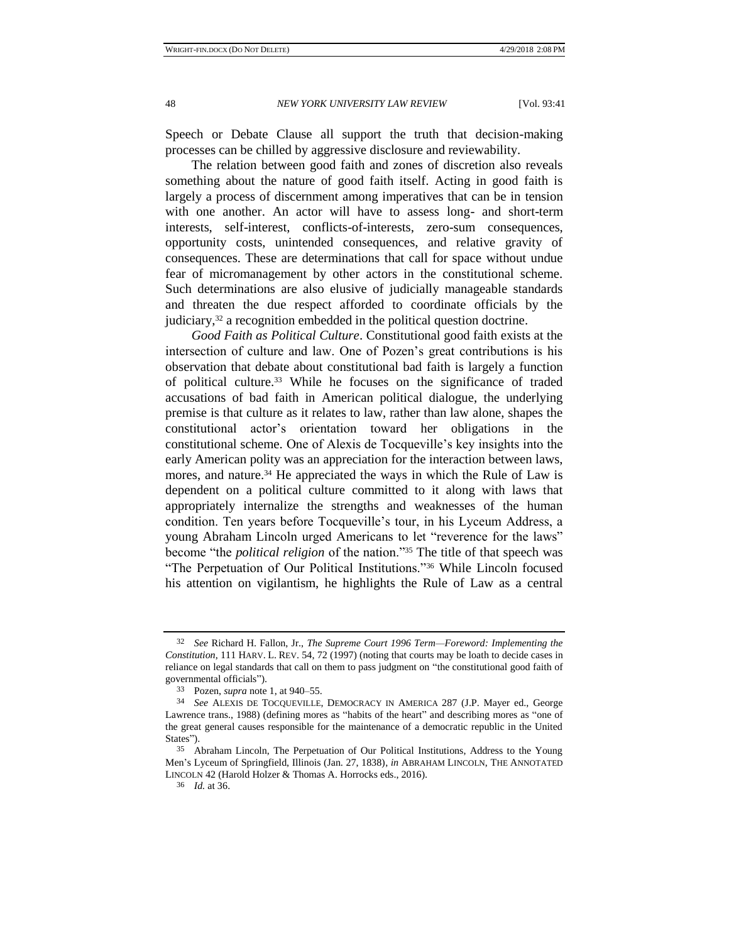Speech or Debate Clause all support the truth that decision-making processes can be chilled by aggressive disclosure and reviewability.

The relation between good faith and zones of discretion also reveals something about the nature of good faith itself. Acting in good faith is largely a process of discernment among imperatives that can be in tension with one another. An actor will have to assess long- and short-term interests, self-interest, conflicts-of-interests, zero-sum consequences, opportunity costs, unintended consequences, and relative gravity of consequences. These are determinations that call for space without undue fear of micromanagement by other actors in the constitutional scheme. Such determinations are also elusive of judicially manageable standards and threaten the due respect afforded to coordinate officials by the judiciary,<sup>32</sup> a recognition embedded in the political question doctrine.

*Good Faith as Political Culture*. Constitutional good faith exists at the intersection of culture and law. One of Pozen's great contributions is his observation that debate about constitutional bad faith is largely a function of political culture.<sup>33</sup> While he focuses on the significance of traded accusations of bad faith in American political dialogue, the underlying premise is that culture as it relates to law, rather than law alone, shapes the constitutional actor's orientation toward her obligations in the constitutional scheme. One of Alexis de Tocqueville's key insights into the early American polity was an appreciation for the interaction between laws, mores, and nature.<sup>34</sup> He appreciated the ways in which the Rule of Law is dependent on a political culture committed to it along with laws that appropriately internalize the strengths and weaknesses of the human condition. Ten years before Tocqueville's tour, in his Lyceum Address, a young Abraham Lincoln urged Americans to let "reverence for the laws" become "the *political religion* of the nation."<sup>35</sup> The title of that speech was "The Perpetuation of Our Political Institutions."<sup>36</sup> While Lincoln focused his attention on vigilantism, he highlights the Rule of Law as a central

<sup>32</sup> *See* Richard H. Fallon, Jr., *The Supreme Court 1996 Term—Foreword: Implementing the Constitution*, 111 HARV. L. REV. 54, 72 (1997) (noting that courts may be loath to decide cases in reliance on legal standards that call on them to pass judgment on "the constitutional good faith of governmental officials").

<sup>33</sup> Pozen, *supra* note 1, at 940–55.

<sup>34</sup> *See* ALEXIS DE TOCQUEVILLE, DEMOCRACY IN AMERICA 287 (J.P. Mayer ed., George Lawrence trans., 1988) (defining mores as "habits of the heart" and describing mores as "one of the great general causes responsible for the maintenance of a democratic republic in the United States").

<sup>35</sup> Abraham Lincoln, The Perpetuation of Our Political Institutions, Address to the Young Men's Lyceum of Springfield, Illinois (Jan. 27, 1838), *in* ABRAHAM LINCOLN, THE ANNOTATED LINCOLN 42 (Harold Holzer & Thomas A. Horrocks eds., 2016).